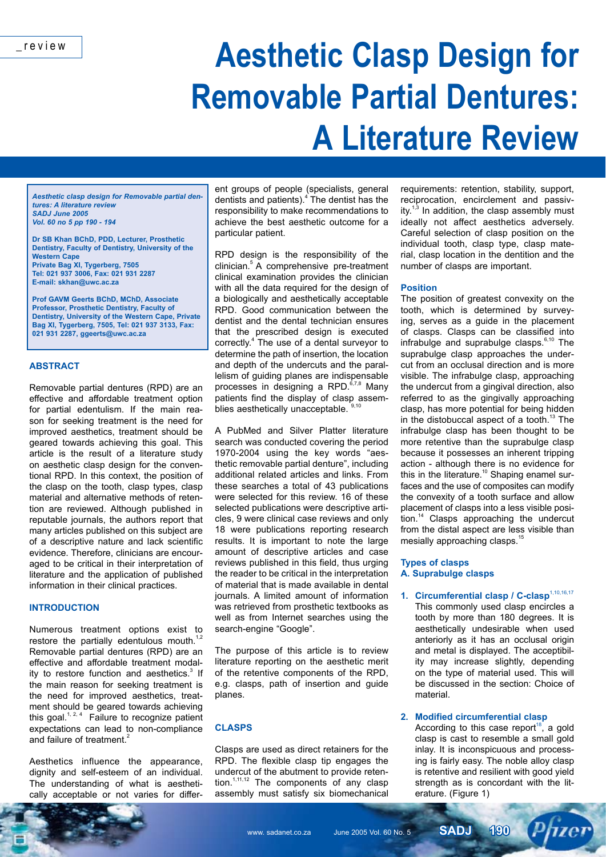# **Aesthetic Clasp Design for Removable Partial Dentures: A Literature Review**

*Aesthetic clasp design for Removable partial dentures: A literature review SADJ June 2005 Vol. 60 no 5 pp 190 - 194*

**Dr SB Khan BChD, PDD, Lecturer, Prosthetic Dentistry, Faculty of Dentistry, University of the Western Cape Private Bag XI, Tygerberg, 7505 Tel: 021 937 3006, Fax: 021 931 2287 E-mail: skhan@uwc.ac.za**

**Prof GAVM Geerts BChD, MChD, Associate Professor, Prosthetic Dentistry, Faculty of Dentistry, University of the Western Cape, Private Bag XI, Tygerberg, 7505, Tel: 021 937 3133, Fax: 021 931 2287, ggeerts@uwc.ac.za**

#### **ABSTRACT**

Removable partial dentures (RPD) are an effective and affordable treatment option for partial edentulism. If the main reason for seeking treatment is the need for improved aesthetics, treatment should be geared towards achieving this goal. This article is the result of a literature study on aesthetic clasp design for the conventional RPD. In this context, the position of the clasp on the tooth, clasp types, clasp material and alternative methods of retention are reviewed. Although published in reputable journals, the authors report that many articles published on this subject are of a descriptive nature and lack scientific evidence. Therefore, clinicians are encouraged to be critical in their interpretation of literature and the application of published information in their clinical practices.

#### **INTRODUCTION**

Numerous treatment options exist to restore the partially edentulous mouth.<sup>1,2</sup> Removable partial dentures (RPD) are an effective and affordable treatment modality to restore function and aesthetics.<sup>3</sup> If the main reason for seeking treatment is the need for improved aesthetics, treatment should be geared towards achieving this goal.<sup>1, 2, 4</sup> Failure to recognize patient expectations can lead to non-compliance and failure of treatment.<sup>2</sup>

Aesthetics influence the appearance, dignity and self-esteem of an individual. The understanding of what is aesthetically acceptable or not varies for differ-

ent groups of people (specialists, general dentists and patients).<sup>4</sup> The dentist has the responsibility to make recommendations to achieve the best aesthetic outcome for a particular patient.

RPD design is the responsibility of the clinician.5 A comprehensive pre-treatment clinical examination provides the clinician with all the data required for the design of a biologically and aesthetically acceptable RPD. Good communication between the dentist and the dental technician ensures that the prescribed design is executed correctly.<sup>4</sup> The use of a dental surveyor to determine the path of insertion, the location and depth of the undercuts and the parallelism of guiding planes are indispensable processes in designing a RPD. $67,8$  Many patients find the display of clasp assemblies aesthetically unacceptable.

A PubMed and Silver Platter literature search was conducted covering the period 1970-2004 using the key words "aesthetic removable partial denture", including additional related articles and links. From these searches a total of 43 publications were selected for this review. 16 of these selected publications were descriptive articles, 9 were clinical case reviews and only 18 were publications reporting research results. It is important to note the large amount of descriptive articles and case reviews published in this field, thus urging the reader to be critical in the interpretation of material that is made available in dental journals. A limited amount of information was retrieved from prosthetic textbooks as well as from Internet searches using the search-engine "Google".

The purpose of this article is to review literature reporting on the aesthetic merit of the retentive components of the RPD, e.g. clasps, path of insertion and guide planes.

#### **CLASPS**

Clasps are used as direct retainers for the RPD. The flexible clasp tip engages the undercut of the abutment to provide retention.<sup>1,11,12</sup> The components of any clasp assembly must satisfy six biomechanical

requirements: retention, stability, support, reciprocation, encirclement and passivity. $1,3$  In addition, the clasp assembly must ideally not affect aesthetics adversely. Careful selection of clasp position on the individual tooth, clasp type, clasp material, clasp location in the dentition and the number of clasps are important.

#### **Position**

The position of greatest convexity on the tooth, which is determined by surveying, serves as a guide in the placement of clasps. Clasps can be classified into infrabulge and suprabulge clasps. $6,10$  The suprabulge clasp approaches the undercut from an occlusal direction and is more visible. The infrabulge clasp, approaching the undercut from a gingival direction, also referred to as the gingivally approaching clasp, has more potential for being hidden in the distobuccal aspect of a tooth.<sup>13</sup> The infrabulge clasp has been thought to be more retentive than the suprabulge clasp because it possesses an inherent tripping action - although there is no evidence for this in the literature.10 Shaping enamel surfaces and the use of composites can modify the convexity of a tooth surface and allow placement of clasps into a less visible position.<sup>14</sup> Clasps approaching the undercut from the distal aspect are less visible than mesially approaching clasps.<sup>15</sup>

#### **Types of clasps A. Suprabulge clasps**

1. Circumferential clasp / C-clasp<sup>1,10,16,17</sup> This commonly used clasp encircles a tooth by more than 180 degrees. It is aesthetically undesirable when used anteriorly as it has an occlusal origin and metal is displayed. The acceptibility may increase slightly, depending on the type of material used. This will be discussed in the section: Choice of material.

#### **2. Modified circumferential clasp**

According to this case report<sup>18</sup>, a gold clasp is cast to resemble a small gold inlay. It is inconspicuous and processing is fairly easy. The noble alloy clasp is retentive and resilient with good yield strength as is concordant with the literature. (Figure 1)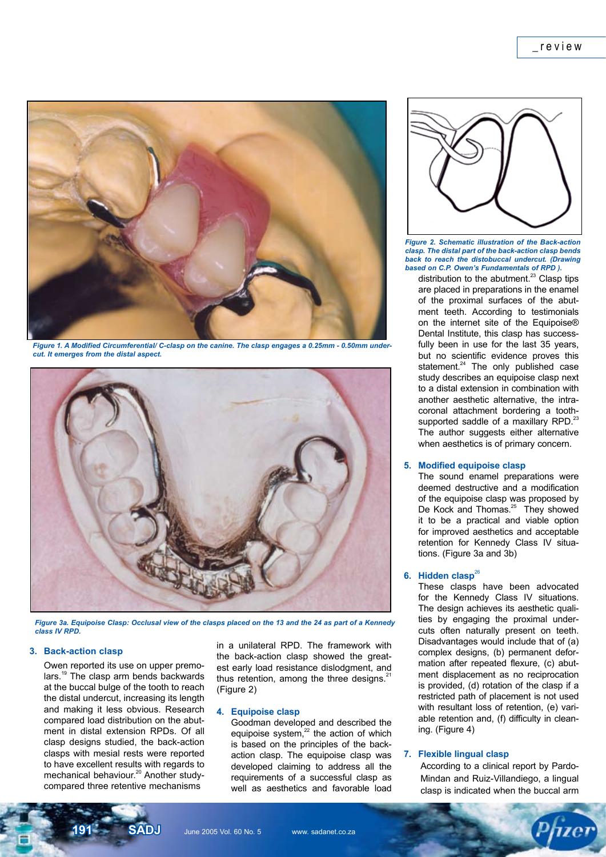

*Figure 1. A Modified Circumferential/ C-clasp on the canine. The clasp engages a 0.25mm - 0.50mm undercut. It emerges from the distal aspect.*



*Figure 3a. Equipoise Clasp: Occlusal view of the clasps placed on the 13 and the 24 as part of a Kennedy class IV RPD.*

### **3. Back-action clasp**

 Owen reported its use on upper premolars.<sup>19</sup> The clasp arm bends backwards at the buccal bulge of the tooth to reach the distal undercut, increasing its length and making it less obvious. Research compared load distribution on the abutment in distal extension RPDs. Of all clasp designs studied, the back-action clasps with mesial rests were reported to have excellent results with regards to mechanical behaviour.<sup>20</sup> Another studycompared three retentive mechanisms

in a unilateral RPD. The framework with the back-action clasp showed the greatest early load resistance dislodgment, and thus retention, among the three designs. $21$ (Figure 2)

#### **4. Equipoise clasp**

 Goodman developed and described the equipoise system, $22$  the action of which is based on the principles of the backaction clasp. The equipoise clasp was developed claiming to address all the requirements of a successful clasp as well as aesthetics and favorable load



*Figure 2. Schematic illustration of the Back-action clasp. The distal part of the back-action clasp bends back to reach the distobuccal undercut. (Drawing based on C.P. Owen's Fundamentals of RPD ).*

distribution to the abutment.<sup>23</sup> Clasp tips are placed in preparations in the enamel of the proximal surfaces of the abutment teeth. According to testimonials on the internet site of the Equipoise® Dental Institute, this clasp has successfully been in use for the last 35 years, but no scientific evidence proves this statement.<sup>24</sup> The only published case study describes an equipoise clasp next to a distal extension in combination with another aesthetic alternative, the intracoronal attachment bordering a toothsupported saddle of a maxillary RPD.<sup>23</sup> The author suggests either alternative when aesthetics is of primary concern.

#### **5. Modified equipoise clasp**

 The sound enamel preparations were deemed destructive and a modification of the equipoise clasp was proposed by De Kock and Thomas.<sup>25</sup> They showed it to be a practical and viable option for improved aesthetics and acceptable retention for Kennedy Class IV situations. (Figure 3a and 3b)

#### **6.** Hidden clasp<sup>26</sup>

 These clasps have been advocated for the Kennedy Class IV situations. The design achieves its aesthetic qualities by engaging the proximal undercuts often naturally present on teeth. Disadvantages would include that of (a) complex designs, (b) permanent deformation after repeated flexure, (c) abutment displacement as no reciprocation is provided, (d) rotation of the clasp if a restricted path of placement is not used with resultant loss of retention, (e) variable retention and, (f) difficulty in cleaning. (Figure 4)

#### **7. Flexible lingual clasp**

According to a clinical report by Pardo-Mindan and Ruiz-Villandiego, a lingual clasp is indicated when the buccal arm

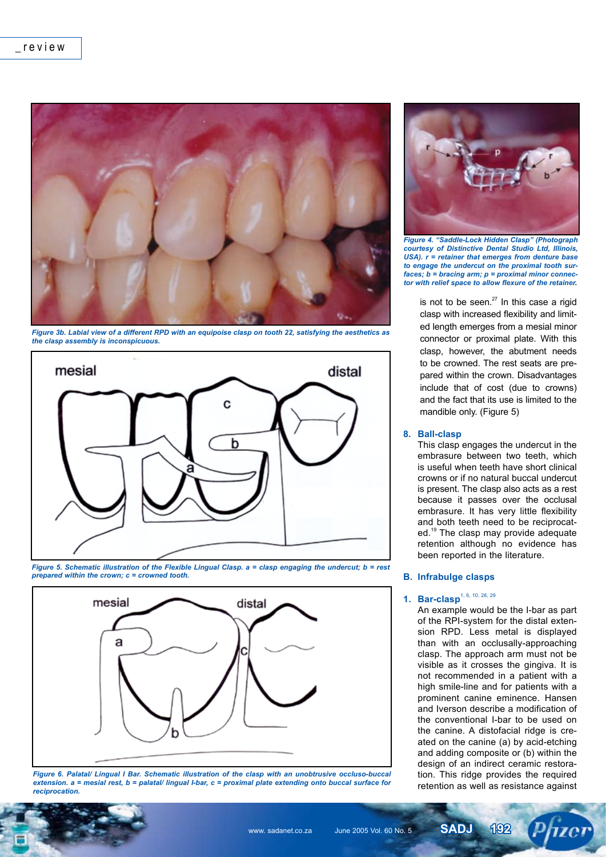

*Figure 3b. Labial view of a different RPD with an equipoise clasp on tooth 22, satisfying the aesthetics as the clasp assembly is inconspicuous.*







*Figure 6. Palatal/ Lingual I Bar. Schematic illustration of the clasp with an unobtrusive occluso-buccal extension. a = mesial rest, b = palatal/ lingual I-bar, c = proximal plate extending onto buccal surface for reciprocation.*



*Figure 4. "Saddle-Lock Hidden Clasp" (Photograph courtesy of Distinctive Dental Studio Ltd, Illinois, USA). r = retainer that emerges from denture base to engage the undercut on the proximal tooth surfaces; b = bracing arm; p = proximal minor connector with relief space to allow flexure of the retainer.* 

is not to be seen. $27$  In this case a rigid clasp with increased flexibility and limited length emerges from a mesial minor connector or proximal plate. With this clasp, however, the abutment needs to be crowned. The rest seats are prepared within the crown. Disadvantages include that of cost (due to crowns) and the fact that its use is limited to the mandible only. (Figure 5)

#### **8. Ball-clasp**

 This clasp engages the undercut in the embrasure between two teeth, which is useful when teeth have short clinical crowns or if no natural buccal undercut is present. The clasp also acts as a rest because it passes over the occlusal embrasure. It has very little flexibility and both teeth need to be reciprocated.<sup>19</sup> The clasp may provide adequate retention although no evidence has been reported in the literature.

#### **B. Infrabulge clasps**

## **1. Bar-clasp**1, 6, 10, 28, 29

 An example would be the I-bar as part of the RPI-system for the distal extension RPD. Less metal is displayed than with an occlusally-approaching clasp. The approach arm must not be visible as it crosses the gingiva. It is not recommended in a patient with a high smile-line and for patients with a prominent canine eminence. Hansen and Iverson describe a modification of the conventional I-bar to be used on the canine. A distofacial ridge is created on the canine (a) by acid-etching and adding composite or (b) within the design of an indirect ceramic restoration. This ridge provides the required retention as well as resistance against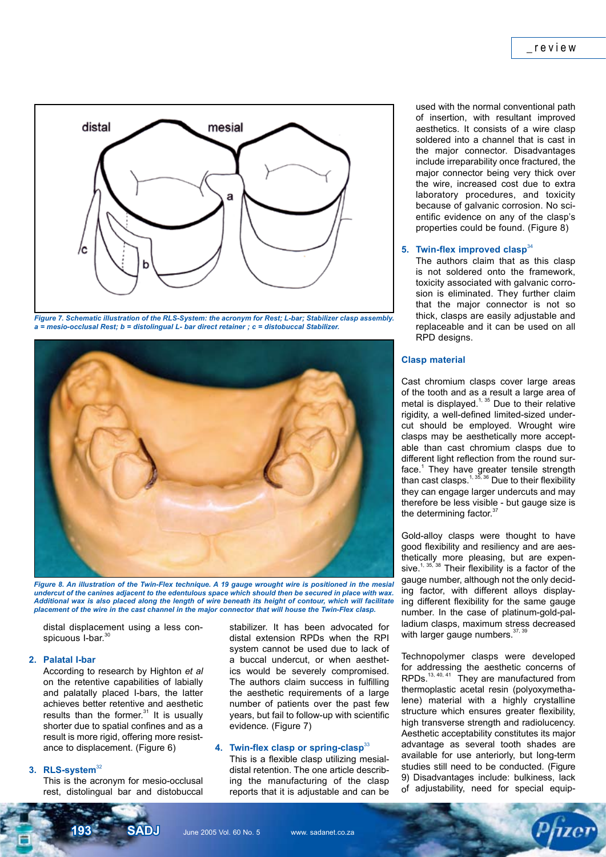

*Figure 7. Schematic illustration of the RLS-System: the acronym for Rest; L-bar; Stabilizer clasp assembly. a = mesio-occlusal Rest; b = distolingual L- bar direct retainer ; c = distobuccal Stabilizer.*



*Figure 8. An illustration of the Twin-Flex technique. A 19 gauge wrought wire is positioned in the mesial undercut of the canines adjacent to the edentulous space which should then be secured in place with wax. Additional wax is also placed along the length of wire beneath its height of contour, which will facilitate placement of the wire in the cast channel in the major connector that will house the Twin-Flex clasp.*

distal displacement using a less conspicuous I-bar.<sup>30</sup>

#### **2. Palatal I-bar**

 According to research by Highton *et al* on the retentive capabilities of labially and palatally placed I-bars, the latter achieves better retentive and aesthetic results than the former. $31$  It is usually shorter due to spatial confines and as a result is more rigid, offering more resistance to displacement. (Figure 6)

#### 3. RLS-system<sup>32</sup>

 This is the acronym for mesio-occlusal rest, distolingual bar and distobuccal

stabilizer. It has been advocated for distal extension RPDs when the RPI system cannot be used due to lack of a buccal undercut, or when aesthetics would be severely compromised. The authors claim success in fulfilling the aesthetic requirements of a large number of patients over the past few years, but fail to follow-up with scientific evidence. (Figure 7)

#### **4. Twin-flex clasp or spring-clasp**<sup>33</sup>

 This is a flexible clasp utilizing mesialdistal retention. The one article describing the manufacturing of the clasp reports that it is adjustable and can be used with the normal conventional path of insertion, with resultant improved aesthetics. It consists of a wire clasp soldered into a channel that is cast in the major connector. Disadvantages include irreparability once fractured, the major connector being very thick over the wire, increased cost due to extra laboratory procedures, and toxicity because of galvanic corrosion. No scientific evidence on any of the clasp's properties could be found. (Figure 8)

#### **5. Twin-flex improved clasp**<sup>34</sup>

 The authors claim that as this clasp is not soldered onto the framework, toxicity associated with galvanic corrosion is eliminated. They further claim that the major connector is not so thick, clasps are easily adjustable and replaceable and it can be used on all RPD designs.

#### **Clasp material**

Cast chromium clasps cover large areas of the tooth and as a result a large area of metal is displayed.<sup>1, 35</sup> Due to their relative rigidity, a well-defined limited-sized undercut should be employed. Wrought wire clasps may be aesthetically more acceptable than cast chromium clasps due to different light reflection from the round surface.<sup>1</sup> They have greater tensile strength than cast clasps. $1,35,36$  Due to their flexibility they can engage larger undercuts and may therefore be less visible - but gauge size is the determining factor.<sup>37</sup>

Gold-alloy clasps were thought to have good flexibility and resiliency and are aesthetically more pleasing, but are expensive.<sup>1, 35, 38</sup> Their flexibility is a factor of the gauge number, although not the only deciding factor, with different alloys displaying different flexibility for the same gauge number. In the case of platinum-gold-palladium clasps, maximum stress decreased with larger gauge numbers. $37,39$ 

Technopolymer clasps were developed for addressing the aesthetic concerns of  $RPDs.$ <sup>13, 40, 41</sup> They are manufactured from thermoplastic acetal resin (polyoxymethalene) material with a highly crystalline structure which ensures greater flexibility, high transverse strength and radiolucency. Aesthetic acceptability constitutes its major advantage as several tooth shades are available for use anteriorly, but long-term studies still need to be conducted. (Figure 9) Disadvantages include: bulkiness, lack of adjustability, need for special equip-